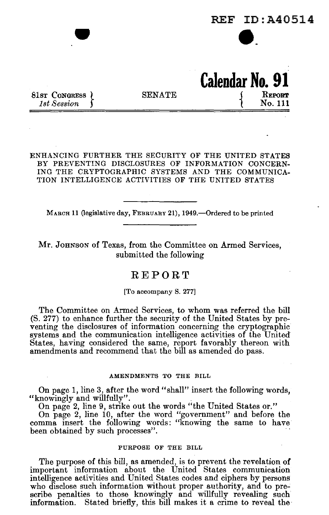

ENHANCING FURTHER THE SECURITY OF THE UNITED STATES BY PREVENTING DISCLOSURES OF INFORMATION CONCERN-ING THE CRYPTOGRAPHIC SYSTEMS AND THE COMMUNICA-TION INTELLIGENCE ACTIVITIES OF THE UNITED STATES

MARCH 11 (legislative day, FEBRUARY 21), 1949.—Ordered to be printed

Mr. JOHNSON of Texas, from the Committee on Armed Services, submitted the following

# **REPORT**

[To accompany S. 277]

The Committee on Armed Services, to whom was referred the **bill**  (S. 277) to enhance further the security of the United States by preventing the disclosures of information concerning the cryptographic systems and the communication intelligence activities of the United States, having considered the same, report favorably thereon with amendments and recommend that the bill as amended do pass.

#### AMENDMENTS TO THE BILL

On page 1, line 3, after the word "shall" insert the following words, "knowingly and willfully".

On page 2, line 9, strike out the words "the United States or."

On page 2, line 10, after the word "government" and before the comma insert the following words: "knowing the same to have been obtained by such processes".

## PURPOSE OF THE BILL

The purpose of this bill, as amended, is to prevent the revelation of important information about the United States communication intelligence activities and United States codes and ciphers by persons who disclose such information without proper authority, and to prescribe penalties to those knowingly and willfully revealing such information. Stated briefly, this **bill** makes it a crime to reveal the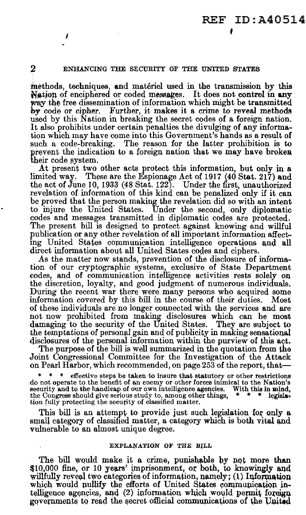# *2* ENHANCING THE SECURITY OF THE UNITED STATES

tnethods, techniques, and materiel used in the transmission by this Nation of enciphered or coded messages. It does not control in any way the free dissemination of information which might be transmitted by code or cipher. Further, it makes it a crime to reveal methods used by this Nation in breaking the secret codes of a foreign nation. It also prohibits under certain penalties the divulging of any information which may have come into this Government's hands as a result of such a code-breaking. The reason for the latter prohibition is to prevent the indication to a foreign nation that we may have broken their code system.

At present two other acts protect this information, but only in a limited way. These are the Espionage Act of 1917 (40 Stat. 217) and These are the Espionage Act of 1917 (40 Stat. 217) and the act of June IO, 1933 (48 Stat. 122). Under the first, unauthorized revelation of information of this kind can be penalized only if it can be proved that the person making the revelation did so with an intent to injure the United States. Under the second, only diplomatic codes and messages transmitted in diplomatic codes are protected. The present bill is designed to protect against knowing and willful publication or any other revelation of all important information affecting United States communication intelligence operations and all direct information about all United States codes and ciphers.

As the matter now stands, prevention of the disclosure of information of our cryptographic systems, exclusive of State Department codes, and of communication intelligence activities rests solely on the discretion, loyalty, and good judgment of numerous individuals. During the recent war there were many persons who acquired some information covered by this bill in the course of their duties. Most information covered by this bill in the course of their duties. of these individuals are no longer connected with the services and are not now prohibited from making disclosures which can be most damaging to the security of the United States. They are subject to the temptations of personal gain and of publicity in making sensational disclosures of the personal information within the purview of this act.

The purpose of the bill is well summarized in the quotation from the Joint Congressional Committee for the Investigation of the Attack on Pearl Harbor, which recommended, on page 253 of the report, that-

effective steps be taken to insure that statutory or other restrictions do not operate to the benefit of an enemy or other forces inimical to the Nation's security and to the handicap of our own intelligence agencies. With this in mind, security and to the handicap of our own intelligence agencies. With this in mind, the Congress should give serious study to, among other things,  $* * * \text{legisla-}$ the Congress should give serious study to, among other things, tion fully protecting the security of classified matter.

This bill is an attempt to provide just such legislation for only a small category of classified matter, a category which is both vital and vulnerable to an almost unique degree.

### EXPLANATION OF THE BILL

The bill would make it a crime, punishable by not more than \$10,000 fine, or 10 years' imprisonment, or both, to knowingly and willfully reveal two categories of information,  $\text{namely}$ ; (1) Information which would pullify the efforts of United States communication intelligence agencies, and (2) information which would permit foreign governments to read the secret official communications of the United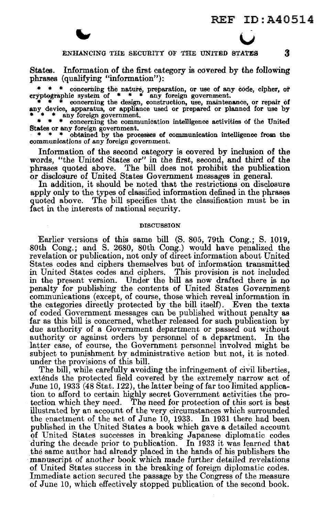u



States. Information of the first category is covered by the following phrases (qualifying "information"):

\* \* \* concerning the nature, preparation, or use of any code, cipher, or cryptographic system of \* \* \* any foreign government. \* \* \* concerning the design, construction, use, maintenance, or repair of  $\frac{1}{2}$  \* \* \* any any foreign government.<br>
\* \* any foreign government.<br>
\* \* • concerning the communication intelligence activities of the United

States or any foreign government.<br>
\* \* \* obtained by the processes of communication intelligence from the

communications of any foreign government.

Information of the second category is covered by inclusion of the words, "the United States or" in the first, second, and third of the phrases quoted above. The bill does not prohibit the publication or disclosure of United States Government messages in general.

In addition, it should be noted that the restrictions on disclosure apply only to the types of classified information defined in the phrases quoted above. The bill specifies that the classification must be in fact in the interests of national security.

#### **DISCUSSION**

Earlier versions of this same bill (S. 805, 79th Cong.; S. 1019, 80th Cong.; and S. 2680, 80th Cong.) would have penalized the revelation or publication, not only of direct information about United States codes and ciphers themselves but of information transmitted in United States codes and ciphers. This provision is not included in the present version. Under the bill as now drafted there is no penalty for publishing the contents of United States Government communications (except, of course, those which reveal information in the categories directly protected by the bill itself). Even the texts of coded Government messages can be published without penalty as far as this bill is concerned, whether released for such publication by due authority of a Government department or passed out without authority or against orders by personnel of a department. In the latter case, of course, the Government personnel involved might be subject to punishment by administrative action but not, it is noted under the provisions of this bill.

The bill, while carefully avoiding the infringement of civil liberties, extends the protected field covered by the extremely narrow act of June 10, 1933 (48 Stat. 122), the latter being of far too limited application to afford to certain highly secret Government activities the pro-<br>tection which they need. The need for protection of this sort is best The need for protection of this sort is best illustrated by an account of the very circumstances which surrounded the enactment of the act of June 10, 1933. In 1931 there had been published in the United States a book which gave a detailed account of United States successes in breaking Japanese diplomatic codes during the decade prior to publication. In 1933 it was learned that the same author had already placed in the hands of his publishers the manuscript of another book which made further detailed revelations of United States success in the breaking of foreign diplomatic codes. Immediate action secured the passage by the Congress of the measure of June 10, which effectively stopped publication of the second book.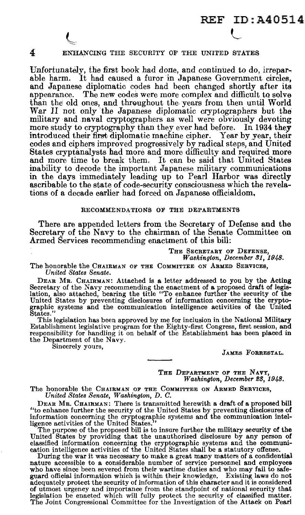# REF ID:A40514 L

# 4 ENHANCING THE SECURITY OF THE UNITED STATES

Unfortunately, the first book had done, and continued to do, irrepar-<br>able harm. It had caused a furor in Japanese Government circles, and Japanese diplomatic codes had been changed shortly after its appearance. The new codes were more complex and difficult to solve than the old ones, and throughout the years from then until World War II not only the Japanese diplomatic cryptographers but the military and naval cryptographers as well were obviously devoting more study to cryptography than they ever had before. In 1934 they introduced their first diplomatic machine cipher. Year by year, their codes and ciphers improved progressively by radical steps, and United States cryptanalysts had more and more difficulty and required more and more time to break them. It can be said that United States inability to decode the important Japanese military communications in the days immediately leading up to Pearl Harbor was directly ascribable to the state of code-security consciousness which the revelations of a decade earlier had forced on Japanese officialdom,

#### RECOMMENDATIONS OF THE DEPARTMENTS

There are appended letters from the Secretary of Defense and the Secretary of the Navy to the chairman of the Senate Committee on Armed Services recommending enactment of this bill:

THE SECRETARY OF DEFENSE, *Washington, December SJ, 1948.* 

The honorable the CHAIRMAN OF THE COMMITTEE ON ARMED SERVICES, *United States Senate.* 

DEAR MR. CHAIRMAN: Attached is a letter addressed to you by the Acting Secretary of the Navy recommending the enactment of a proposed draft of legislation, also attached, bearing the title "To enhance further the security of the United States by preventing disclosures of information concernin graphic systems and the communication intelligence activities of the United States.

This legislation has been approved by me for inclusion in the National Military Establishment legislative program for the Eighty-first Congress, first session, and responsibility for handling it on behalf of the Establishment has been placed in the Department of the Navy.<br>Sincerely yours,

JAMES FORRESTAL.

THE DEPARTMENT OF THE NAVY, *Washington, December es, 1948.* 

The honorable the CHAIRMAN OF THE COMMITTEE ON ARMED SERVICES, *United States Senate, Washington, D. C.* 

DEAR MR. CHAIRMAN: There is transmitted herewith a draft of a proposed bill "to enhance further the security of the United States by preventing disclosures of information concerning the cryptographic systems and the communication intelligence activities of the United States."

The purpose of the proposed bill is to insure further the military security of the United States by providing that the unauthorized disclosure by any person of classified information concerning the cryptographic systems an cation intelligence activities of the United States shall be a statutory offense.

During the war it was necessary to make a great many matters of a confidential nature accessible to a considerable number of service personnel and employees who have since been severed from their wartime duties and who may fail to safeguard official information which is within their knowledge. Existing laws do not adequately protect the security of information of this character and it is considered of utmost urgency and importance from the standpoint of national security that legislation be enacted which will fully protect the security of classified matter. The Joint Congressional Committee for the Investigation of the Attack on Pearl